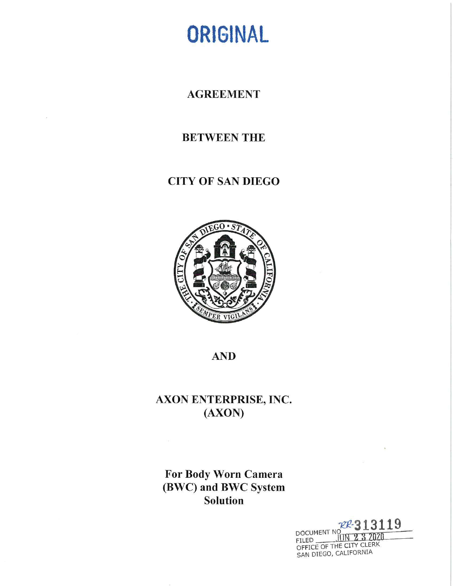# ORIGINAL

**AGREEMENT** 

**BETWEEN THE** 

 $\sigma$ 

# **CITY OF SAN DIEGO**



# **AND**

# **AXON ENTERPRISE, INC. (AXON)**

**For Body Worn Camera (BWC) and BWC System Solution** 

> **DOCUMENT NO 23 2020** DOCUMENT NO 2 3 2020 OFFICE OF THE CITY CLERK SAN DIEGO, CALIFORNIA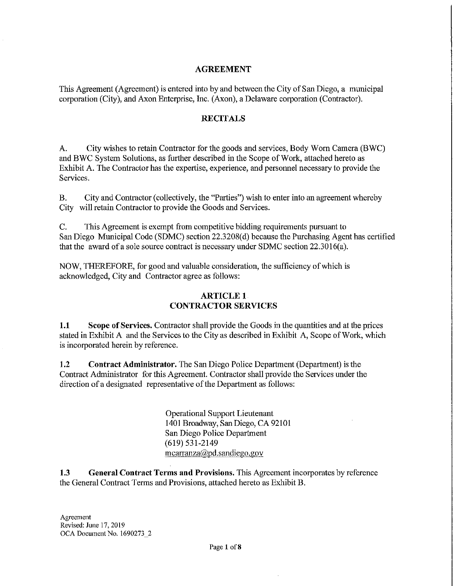# **AGREEMENT**

This Agreement (Agreement) is entered into by and between the City of San Diego, a municipal corporation (City), and Axon Enterprise, Inc. (Axon), a Delaware corporation (Contractor).

# **RECITALS**

A. City wishes to retain Contractor for the goods and services, Body Worn Camera (BWC) and BWC System Solutions, as further described in the Scope of Work, attached hereto as Exhibit A. The Contractor has the expertise, experience, and personnel necessary to provide the Services.

B. City and Contractor (collectively, the "Parties") wish to enter into an agreement whereby City will retain Contractor to provide the Goods and Services.

C. This Agreement is exempt from competitive bidding requirements pursuant to San Diego Municipal Code (SDMC) section 22.3208( d) because the Purchasing Agent has certified that the award of a sole source contract is necessary under SDMC section 22.3016(a).

NOW, THEREFORE, for good and valuable consideration, the sufficiency of which is acknowledged, City and Contractor agree as follows:

#### **ARTICLE 1 CONTRACTOR SERVICES**

**1.1** Scope of Services. Contractor shall provide the Goods in the quantities and at the prices stated in Exhibit A and the Services to the City as described in Exhibit A, Scope of Work, which is incorporated herein by reference.

**1.2 Contract Administrator.** The San Diego Police Department (Department) is the Contract Administrator for this Agreement. Contractor shall provide the Services under the direction of a designated representative of the Department as follows:

> Operational Support Lieutenant 1401 Broadway, San Diego, CA 92101 San Diego Police Department (619) 531-2149 mcarranza@pd.sandiego.gov

**1.3 General Contract Terms and Provisions.** This Agreement incorporates by reference the General Contract Terms and Provisions, attached hereto as Exhibit B.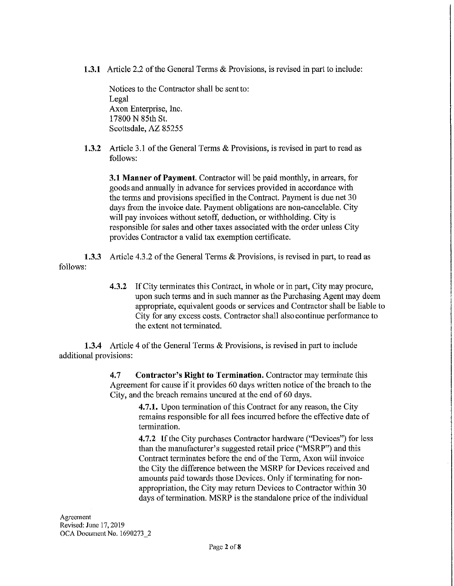**1.3.1** Article 2.2 of the General Terms & Provisions, is revised in part to include:

Notices to the Contractor shall be sent to: Legal Axon Enterprise, Inc. 17800 N 85th St. Scottsdale, AZ 85255

**1.3.2** Article 3.1 of the General Terms & Provisions, is revised in part to read as follows:

**3.1 Manner of Payment.** Contractor will be paid monthly, in arrears, for goods and annually in advance for services provided in accordance with the tenns and provisions specified in the Contract. Payment is due net 30 days from the invoice date. Payment obligations are non-cancelable. City will pay invoices without setoff, deduction, or withholding. City is responsible for sales and other taxes associated with the order unless City provides Contractor a valid tax exemption certificate.

**1.3.3** Article 4.3.2 of the General Terms & Provisions, is revised in part, to read as follows:

> **4.3.2** If City terminates this Contract, in whole or in part, City may procure, upon such terms and in such manner as the Purchasing Agent may deem appropriate, equivalent goods or services and Contractor shall be liable to City for any excess costs. Contractor shall also continue performance to the extent not terminated.

**1.3.4** Article 4 of the General Terms & Provisions, is revised in part to include additional provisions:

> **4.7 Contractor's Right to Termination.** Contractor may terminate this Agreement for cause if it provides 60 days written notice of the breach to the City, and the breach remains uncured at the end of 60 days.

> > **4.7.1.** Upon termination of this Contract for any reason, the City remains responsible for all fees incurred before the effective date of termination.

**4.7.2** If the City purchases Contractor hardware ("Devices") for less than the manufacturer's suggested retail price ("MSRP") and this Contract terminates before the end of the Term, Axon will invoice the City the difference between the MSRP for Devices received and amounts paid towards those Devices. Only if terminating for nonappropriation, the City may return Devices to Contractor within 30 days of termination. MSRP is the standalone price of the individual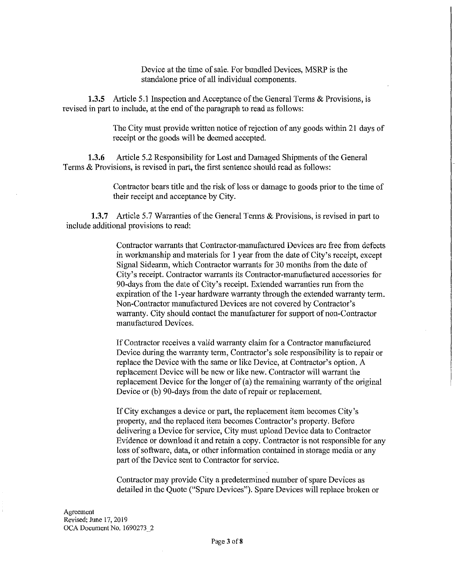Device at the time of sale. For bundled Devices, MSRP is the standalone price of all individual components.

**1.3.5** Article 5.1 Inspection and Acceptance of the General Terms & Provisions, is revised in part to include, at the end of the paragraph to read as follows:

> The City must provide written notice of rejection of any goods within 21 days of receipt or the goods will be deemed accepted.

**1.3.6** Article 5.2 Responsibility for Lost and Damaged Shipments of the General Terms & Provisions, is revised in part, the first sentence should read as follows:

> Contractor bears title and the risk of loss or damage to goods prior to the time of their receipt and acceptance by City.

**1.3.7** Article 5.7 Warranties of the General Terms & Provisions, is revised in part to include additional provisions to read:

> Contractor warrants that Contractor-manufactured Devices are free from defects in workmanship and materials for 1 year from the date of City's receipt, except Signal Sidearm, which Contractor warrants for 30 months from the date of City's receipt. Contractor warrants its Contractor-manufactured accessories for 90-days from the date of City's receipt. Extended warranties run from the expiration of the I-year hardware warranty through the extended warranty term. Non-Contractor manufactured Devices are not covered by Contractor's warranty. City should contact the manufacturer for support of non-Contractor manufactured Devices.

If Contractor receives a valid warranty claim for a Contractor manufactured Device during the warranty term, Contractor's sole responsibility is to repair or replace the Device with the same or like Device, at Contractor's option. A replacement Device will be new or like new. Contractor will warrant the replacement Device for the longer of  $(a)$  the remaining warranty of the original Device or (b) 90-days from the date of repair or replacement.

If City exchanges a device or part, the replacement item becomes City's property, and the replaced item becomes Contractor's property. Before delivering a Device for service, City must upload Device data to Contractor Evidence or download it and retain a copy. Contractor is not responsible for any loss of software, data, or other information contained in storage media or any part of the Device sent to Contractor for service.

Contractor may provide City a predetermined number of spare Devices as detailed in the Quote ("Spare Devices"). Spare Devices will replace broken or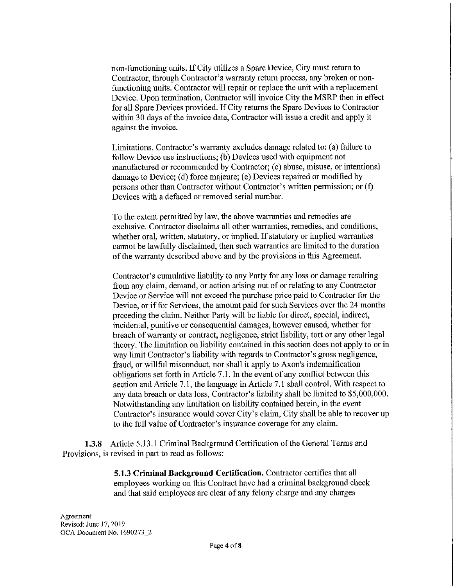non-functioning writs. If City utilizes a Spare Device, City must return to Contractor, through Contractor's warranty return process, any broken or nonfunctioning units. Contractor will repair or replace the unit with a replacement Device. Upon termination, Contractor will invoice City the MSRP then in effect for all Spare Devices provided. If City returns the Spare Devices to Contractor within 30 days of the invoice date, Contractor will issue a credit and apply it against the invoice.

Limitations. Contractor's warranty excludes damage related to: (a) failure to follow Device use instructions; (b) Devices used with equipment not manufactured or recommended by Contractor; (c) abuse, misuse, or intentional damage to Device; (d) force majeure; (e) Devices repaired or modified by persons other than Contractor without Contractor's written permission; or (f) Devices with a defaced or removed serial number.

To the extent permitted by law, the above warranties and remedies are exclusive. Contractor disclaims all other warranties, remedies, and conditions, whether oral, written, statutory, or implied. If statutory or implied warranties cannot be lawfully disclaimed, then such warranties are limited to the duration of the warranty described above and by the provisions in this Agreement.

Contractor's cumulative liability to any Party for any loss or damage resulting from any claim, demand, or action arising out of or relating to any Contractor Device or Service will not exceed the purchase price paid to Contractor for the Device, or if for Services, the amount paid for such Services over the 24 months preceding the claim. Neither Party will be liable for direct, special, indirect, incidental, punitive or consequential damages, however caused, whether for breach of warranty or contract, negligence, strict liability, tort or any other legal theory. The limitation on liability contained in this section does not apply to or in way limit Contractor's liability with regards to Contractor's gross negligence, fraud, or willful misconduct, nor shall it apply to Axon's indemnification obligations set forth in Article 7.1. In the event of any conflict between this section and Article 7.1, the language in Article 7.1 shall control. With respect to any data breach or data Joss, Contractor's liability shall be limited to \$5,000,000. Notwithstanding any limitation on liability contained herein, in the event Contractor's insurance would cover City's claim, City shall be able to recover up to the full value of Contractor's insurance coverage for any claim.

**1.3.8** Article 5.13.1 Criminal Background Certification of the General Terms and Provisions, is revised in part to read as follows:

> **5.1.3 Criminal Background Certification.** Contractor certifies that all employees working on this Contract have had a criminal background check and that said employees are clear of any felony charge and any charges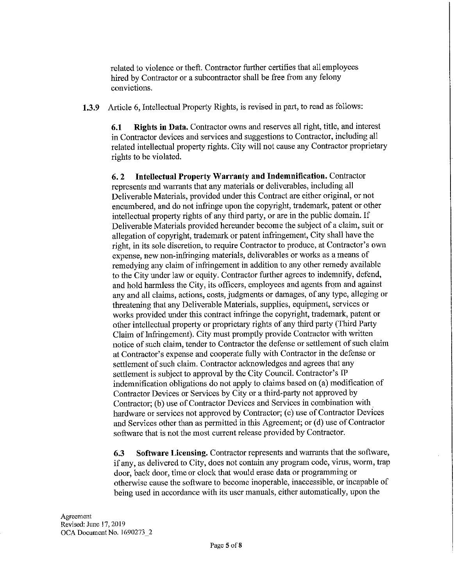related to violence or theft. Contractor further certifies that all employees hired by Contractor or a subcontractor shall be free from any felony convictions.

**1.3.9** Article 6, Intellectual Property Rights, is revised in part, to read as follows:

**6.1 Rights in Data.** Contractor owns and reserves all right, title, and interest in Contractor devices and services and suggestions to Contractor, including all related intellectual property rights. City will not cause any Contractor proprietary rights to be violated.

**6. 2 Intellectual Property Warranty and Indemnification.** Contractor represents and warrants that any materials or deliverables, including all Deliverable Materials, provided under this Contract are either original, or not encumbered, and do not infringe upon the copyright, trademark, patent or other intellectual property rights of any third party, or are in the public domain. If Deliverable Materials provided hereunder become the subject of a claim, suit or allegation of copyright, trademark or patent infringement, City shall have the right, in its sole discretion, to require Contractor to produce, at Contractor's own expense, new non-infringing materials, deliverables or works as a means of remedying any claim of infringement in addition to any other remedy available to the City under law or equity. Contractor further agrees to indemnify, defend, and hold harmless the City, its officers, employees and agents from and against any and all claims, actions, costs, judgments or damages, of any type, alleging or threatening that any Deliverable Materials, supplies, equipment, services or works provided under this contract infringe the copyright, trademark, patent or other intellectual property or proprietary rights of any third party (Third Party Claim of Infringement). City must promptly provide Contractor with written notice of such claim, tender to Contractor the defense or settlement of such claim at Contractor's expense and cooperate fully with Contractor in the defense or settlement of such claim. Contractor acknowledges and agrees that any settlement is subject to approval by the City Council. Contractor's IP indemnification obligations do not apply to claims based on (a) modification of Contractor Devices or Services by City or a third-party not approved by Contractor; (b) use of Contractor Devices and Services in combination with. hardware or services not approved by Contractor; (c) use of Contractor Devices and Services other than as permitted in this Agreement; or (d) use of Contractor software that is not the most current release provided by Contractor.

**6.3 Software Licensing.** Contractor represents and warrants that the software, if any, as delivered to City, does not contain any program code, virus, worm, trap door, back door, time or clock that would erase data or programming or otherwise canse the software to become inoperable, inaccessible, or incapable of being used in accordance with its user manuals, either automatically, upon the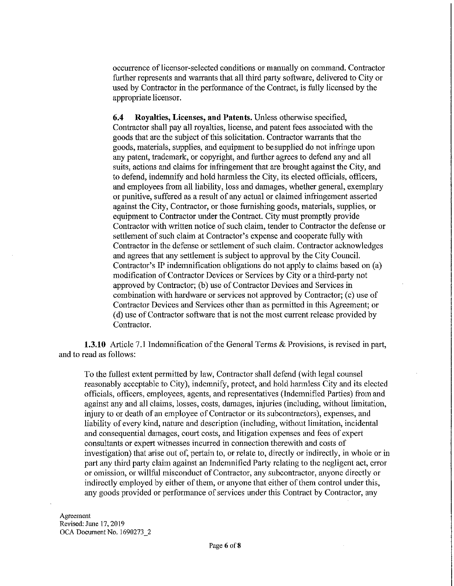occurrence of licensor-selected conditions or manually on command. Contractor further represents and warrants that all third party software, delivered to City or used by Contractor in the performance of the Contract, is fully licensed by the appropriate licensor.

**6.4 Royalties, Licenses, and Patents.** Unless otherwise specified, Contractor shall pay all royalties, license, and patent fees associated with the goods that are the subject of this solicitation. Contractor warrants that the goods, materials, supplies, and equipment to be supplied do not infringe upon any patent, trademark, or copyright, and further agrees to defend any and all suits, actions and claims for infringement that are brought against the City, and to defend, indemnify and hold harmless the City, its elected officials, officers, and employees from all liability, loss and damages, whether general, exemplary or punitive, suffered as a result of any actual or claimed infringement asserted against the City, Contractor, or those furnishing goods, materials, supplies, or equipment to Contractor under the Contract. City must promptly provide Contractor with written notice of such claim, tender to Contractor the defense or settlement of such claim at Contractor's expense and cooperate fully with Contractor in the defense or settlement of such claim. Contractor acknowledges and agrees that any settlement is subject to approval by the City Council. Contractor's IP indemnification obligations do not apply to claims based on (a) modification of Contractor Devices or Services by City or a third-party not approved by Contractor; (b) use of Contractor Devices and Services in combination with hardware or services not approved by Contractor; (c) use of Contractor Devices and Services other than as permitted in this Agreement; or (d) use of Contractor software that is not the most current release provided by Contractor.

**1.3.10** Article 7.1 lndemnification of the General Terms & Provisions, is revised in part, and to read as follows:

To the fullest extent permitted by law, Contractor shall defend (with legal counsel reasonably acceptable to City), indemnify, protect, and hold harmless City and its elected officials, officers, employees, agents, and representatives (Indemnified Parties) from and against any and all claims, losses, costs, damages, injuries (including, without limitation, injury to or death of an employee of Contractor or its subcontractors), expenses, and liability of every kind, nature and description (including, without limitation, incidental and consequential damages, court costs, and litigation expenses and fees of expert consultants or expert witnesses incurred in connection therewith and costs of investigation) that arise out of, pertain to, or relate to, directly or indirectly, in whole or in part any third party claim against an Indemnified Party relating to the negligent act, error or omission, or willful misconduct of Contractor, any subcontractor, anyone directly or indirectly employed by either of them, or anyone that either of them control under this, any goods provided or performance of services under this Contract by Contractor, any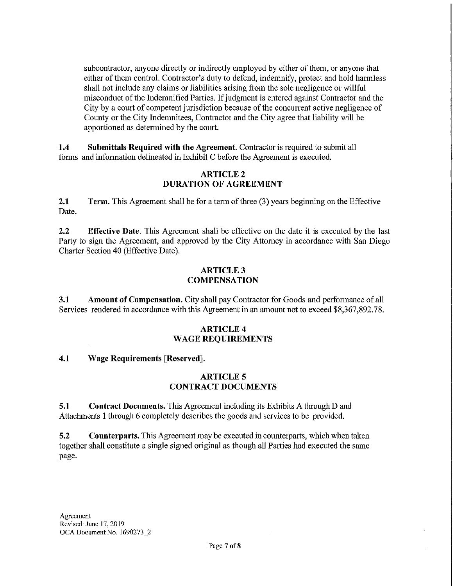subcontractor, anyone directly or indirectly employed by either of them, or anyone that either of them control. Contractor's duty to defend, indemnify, protect and hold hannless shall not include any claims or liabilities arising from the sole negligence or willful misconduct of the Indemnified Parties. If judgment is entered against Contractor and the City by a court of competent jurisdiction because of the concurrent active negligence of County or the City Indemnitees, Contractor and the City agree that liability will be apportioned as determined by the court.

**1.4 Submittals Required with the Agreement.** Contractor is required to submit all forms and information delineated in Exhibit C before the Agreement is executed.

# **ARTICLE2 DURATION OF AGREEMENT**

**2.1** Term. This Agreement shall be for a term of three (3) years beginning on the Effective Date.

**2.2 Effective Date.** This Agreement shall be effective on the date it is executed by the last Party to sign the Agreement, and approved by the City Attorney in accordance with San Diego Charter Section 40 (Effective Date).

# **ARTICLE3 COMPENSATION**

**3.1 Amount of Compensation.** City shall pay Contractor for Goods and performance of all Services rendered in accordance with this Agreement in an amount not to exceed \$8,367,892.78.

# **ARTICLE4 WAGE REQUIREMENTS**

# **4.1 Wage Requirements [Reserved].**

# **ARTICLES CONTRACT DOCUMENTS**

**5.1 Contract Documents.** This Agreement including its Exhibits A through D and Attachments I through 6 completely describes the goods and services to be provided.

**5.2 Counterparts.** This Agreement may be executed in counterparts, which when taken together shall constitute a single signed original as though all Parties had executed the same page.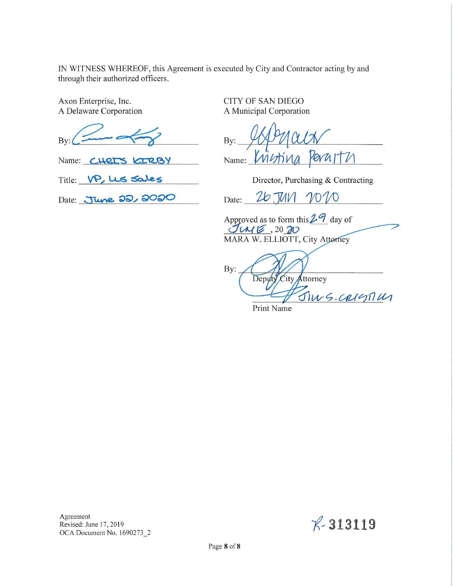IN WITNESS WHEREOF , this Agreement is executed by City and Contractor acting by and through their authorized officers.

Axon Enterprise, Inc. A Delaware Corporation

Bv:

Name: **CHRIS KIRBY** 

Title: **VP, U.S Sales** 

Date: <del>June 22, 2020</del>

CITY OF SAN DIEGO A Municipal Corporation

By:  $PartITU$ Name: *Mighina* 

Director, Purchasing  $&$  Contracting

Date: 26 JUN 7070

Approved as to form this  $2^q$  day of MARA W. ELLIOTT, City Attorney  $JMLE$ , 20 20  $\frac{y \text{ of } }{y \text{ for } }$ 

By:  $\mathcal{L}$ ity Attorney Deputy JINS.CRIGALLA

Print Name

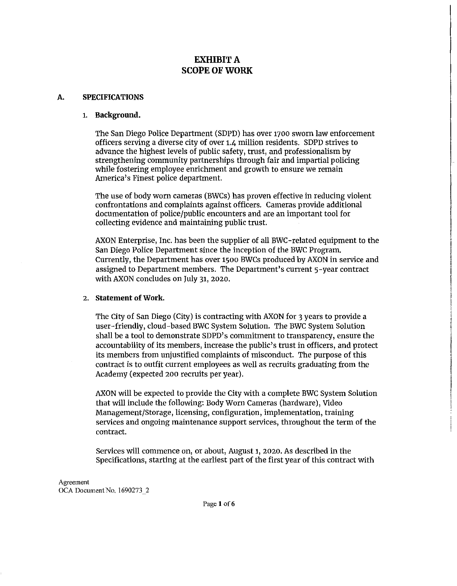# **EXHIBIT A SCOPE OF WORK**

#### **A. SPECIFICATIONS**

#### 1. **Background.**

The San Diego Police Department (SDPD) has over 1700 sworn law enforcement officers serving a diverse city of over 1.4 million residents. SDPD strives to advance the highest levels of public safety, trust, and professionalism by strengthening community partnerships through fair and impartial policing while fostering employee enrichment and growth to ensure we remain America's Finest police department.

The use of body worn cameras (BWCs) has proven effective in reducing violent confrontations and complaints against officers. Cameras provide additional documentation of police/public encounters and are an important tool for collecting evidence and maintaining public trust.

AXON Enterprise, Inc. has been the supplier of all BWC-related equipment to the San Diego Police Department since the inception of the BWC Program. Currently, the Department has over 1500 BWCs produced by AXON in service and assigned to Department members. The Department's current 5-year contract with AXON concludes on July 31, 2020.

#### 2. **Statement of Work.**

The City of San Diego (City) is contracting with AXON for 3 years to provide a user-friendly, cloud-based BWC System Solution. The BWC System Solution shall be a tool to demonstrate SDPD's commitment to transparency, ensure the accountability of its members, increase the public's trust in officers, and protect its members from unjustified complaints of misconduct. The purpose of this contract is to outfit current employees as well as recruits graduating from the Academy (expected 200 recruits per year).

AXON will be expected to provide the City with a complete BWC System Solution that will include the following: Body Worn Cameras (hardware), Video Management/Storage, licensing, configuration, implementation, training services and ongoing maintenance support services, throughout the term of the contract.

Services will commence on, or about, August 1, 2020. As described in the Specifications, starting at the earliest part of the first year of this contract with

**Agreement**  OCA Document No. 1690273 \_2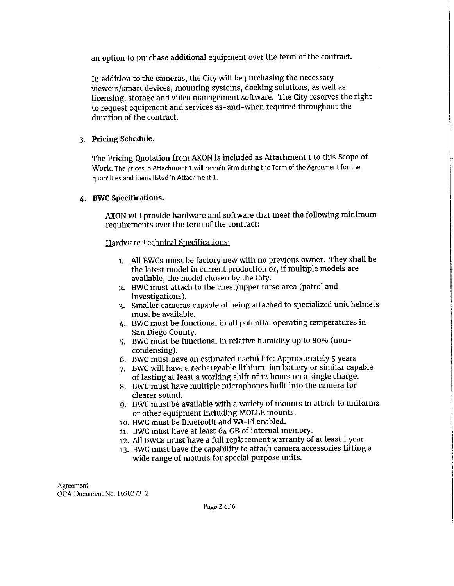an option to purchase additional equipment over the term of the contract.

In addition to the cameras, the City will be purchasing the necessary viewers/smart devices, mounting systems, docking solutions, as well as licensing, storage and video management software. The City reserves the right to request equipment and services as-and-when required throughout the duration of the contract.

# 3. **Pricing Schedule.**

The Pricing Quotation from AXON is included as Attachment 1 to this Scope of Work. The prices in Attachment 1 will remain firm during the Term of the Agreement for the **quantities and items listed in Attachment 1.** 

# 4- **BWC Specifications.**

AXON will provide hardware and software that meet the following minimum requirements over the term of the contract:

Hardware Technical Specifications:

- **1.** All BWCs must be factory new with no previous owner. They shall be the latest model in current production or, if multiple models are available, the model chosen by the City.
- 2. BWC must attach to the chest/upper torso area (patrol and investigations).
- 3. Smaller cameras capable of being attached to specialized unit helmets must be available.
- 4. BWC must be functional in all potential operating temperatures in San Diego County.
- 5. BWC must be functional in relative humidity up to 80% (noncondensing).
- 6. BWC must have an estimated useful life: Approximately 5 years
- 7. BWC will have a rechargeable lithium-ion battery or similar capable of lasting at least a working shift of 12 hours on a single charge.
- 8. BWC must have multiple microphones built into the camera for clearer sound.
- 9. BWC must be available with a variety of mounts to attach to uniforms or other equipment including MOLLE mounts.
- 10. BWC must be Bluetooth and Wi-Fi enabled.
- 11. BWC must have at least 64 GB of internal memory.
- 12. All BWCs must have a full replacement warranty of at least 1 year
- 13. BWC must have the capability to attach camera accessories fitting a wide range of mounts for special purpose units.

**Agreement**  OCA Document No. 1690273 2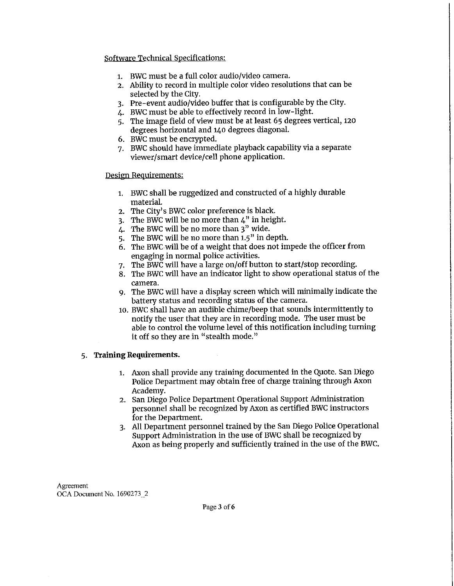Software Technical Specifications:

- 1. BWC must be a full color audio/video camera.
- 2. Ability to record in multiple color video resolutions that can be selected by the City.
- 3. Pre-event audio/video buffer that is configurable by the City.
- 4, BWC must be able to effectively record in low-light.
- 5, The image field of view must be at least 65 degrees vertical, 120 degrees horizontal and 140 degrees diagonal.
- 6. BWC must be encrypted.
- 7, BWC should have immediate playback capability via a separate viewer/smart device/cell phone application.

Design Requirements:

- 1. BWC shall be ruggedized and constructed of a highly durable material.
- 2. The City's BWC color preference is black.
- 3. The BWC will be no more than  $4$ <sup>"</sup> in height.
- 4- The BWC will be no more than 3" wide.
- 5, The BWC will be no more than 1.5" in depth.
- 6. The BWCwill be of a weight that does not impede the officer from engaging in normal police activities.
- 7, The BWC will have a large on/off button to start/stop recording.
- 8. The BWC will have an indicator light to show operational status of the camera.
- 9, The BWC will have a display screen which will minimally indicate the battery status and recording status of the camera.
- 10. BWC shall have an audible chime/beep that sounds intermittently to notify the user that they are in recording mode. The user must be able to control the volume level of this notification including turning it off so they are in "stealth mode."

# 5, **Training Requirements.**

- 1. Axon shall provide any training documented in the Quote. San Diego Police Department may obtain free of charge training through Axon Academy.
- 2. San Diego Police Department Operational Support Administration personnel shall be recognized by Axon as certified BWC instructors for the Department.
- 3. All Department personnel trained by the San Diego Police Operational Support Administration in the use of BWC shall be recognized by Axon as being properly and sufficiently trained in the use of the BWC.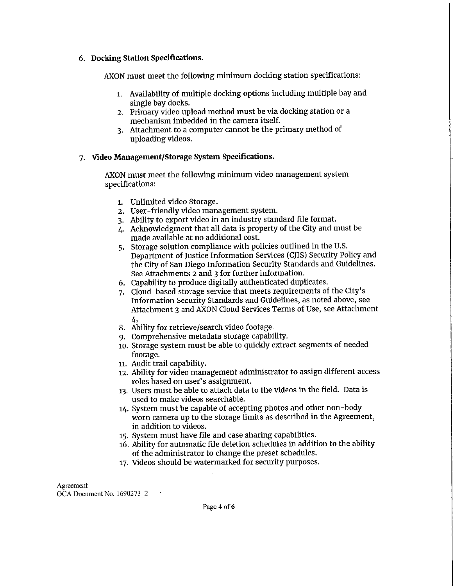#### 6. **Docking Station Specifications.**

AXON must meet the following minimum docking station specifications:

- 1. Availability of multiple docking options including multiple bay and single bay docks.
- 2. Primary video upload method must be via docking station or a mechanism imbedded in the camera itself.
- 3. Attachment to a computer cannot be the primary method of uploading videos.

# 7. **Video Management/Storage System Specifications.**

AXON must meet the following minimum video management system specifications:

- 1. Unlimited video Storage.
- 2. User-friendly video management system.
- 3. Ability to export video in an industry standard file format.
- 4. Acknowledgment that all data is property of the City and must be made available at no additional cost.
- 5. Storage solution compliance with policies outlined in the U.S. Department of Justice Information Services ( CJIS) Security Policy and the City of San Diego Information Security Standards and Guidelines. See Attachments 2 and 3 for further information.
- 6. Capability to produce digitally authenticated duplicates.
- 7. Cloud-based storage service that meets requirements of the City's Information Security Standards and Guidelines, as noted above, see Attachment 3 and AXON Cloud Services Terms of Use, see Attachment 4,
- 8. Ability for retrieve/search video footage.
- 9. Comprehensive metadata storage capability.
- 10. Storage system must be able to quickly extract segments of needed footage.
- 11. Audit trail capability.
- 12. Ability for video management administrator to assign different access roles based on user's assignment.
- 13. Users must be able to attach data to the videos in the field. Data is used to make videos searchable.
- 14. System must be capable of accepting photos and other non-body worn camera up to the storage limits as described in the Agreement, in addition to videos.
- 15. System must have file and case sharing capabilities.
- 16. Ability for automatic file deletion schedules in addition to the ability of the administrator to change the preset schedules.
- 17. Videos should be watermarked for security purposes.

#### **Agreement**

OCA Document No. 1690273 2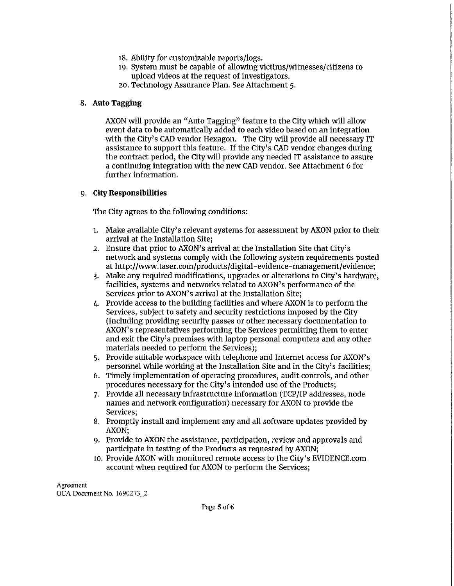- 18. Ability for customizable reports/logs.
- 19. System must be capable of allowing victims/witnesses/citizens to upload videos at the request of investigators.
- 20. Technology Assurance Plan. See Attachment 5.

# 8. **Auto Tagging**

AXON will provide an "Auto Tagging" feature to the City which will allow event data to be automatically added to each video based on an integration with the City's CAD vendor Hexagon. The City will provide all necessary IT assistance to support this feature. If the City's CAD vendor changes during the contract period, the City will provide any needed IT assistance to assure a continuing integration with the new CAD vendor. See Attachment 6 for further information.

# 9. **City Responsibilities**

The City agrees to the following conditions:

- 1. Make available City's relevant systems for assessment by AXON prior to their arrival at the Installation Site;
- 2. Ensure that prior to AXON's arrival at the Installation Site that City's network and systems comply with the following system requirements posted at http://www.taser.com/products/digital-evidence-management/evidence;
- 3. Make any required modifications, upgrades or alterations to City's hardware, facilities, systems and networks related to AXON's performance of the Services prior to AXON's arrival at the Installation Site;
- 4. Provide access to the building facilities and where AXON is to perform the Services, subject to safety and security restrictions imposed by the City (including providing security passes or other necessary documentation to AXON's representatives performing the Services permitting them to enter and exit the City's premises with laptop personal computers and any other materials needed to perform the Services);
- 5. Provide suitable workspace with telephone and Internet access for AXON' s personnel while working at the Installation Site and in the City's facilities;
- 6. Timely implementation of operating procedures, audit controls, and other procedures necessary for the City's intended use of the Products;
- 7. Provide all necessary infrastructure information (TCP/IP addresses, node names and network configuration) necessary for AXON to provide the Services;
- 8. Promptly install and implement any and all software updates provided by AXON;
- 9. Provide to AXON the assistance, participation, review and approvals and participate in testing of the Products as requested by AXON;
- 10. Provide AXON with monitored remote access to the City's EVIDENCE.com account when required for AXON to perform the Services;

**Agreement**  OCA Document No. 1690273\_2